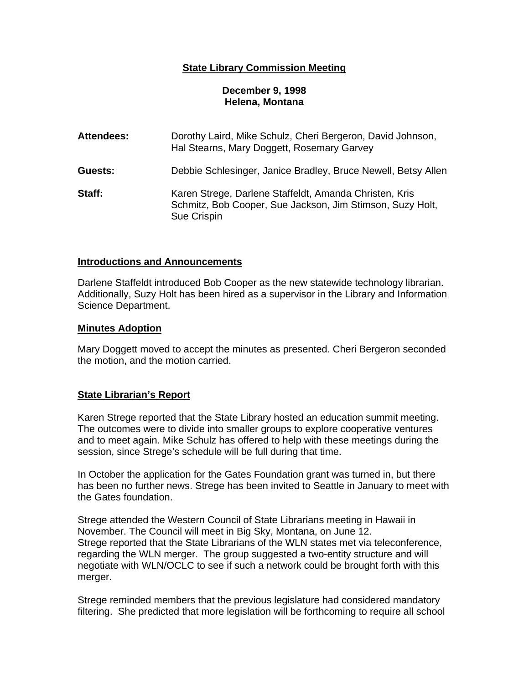# **State Library Commission Meeting**

## **December 9, 1998 Helena, Montana**

| <b>Attendees:</b> | Dorothy Laird, Mike Schulz, Cheri Bergeron, David Johnson,<br>Hal Stearns, Mary Doggett, Rosemary Garvey                           |
|-------------------|------------------------------------------------------------------------------------------------------------------------------------|
| Guests:           | Debbie Schlesinger, Janice Bradley, Bruce Newell, Betsy Allen                                                                      |
| Staff:            | Karen Strege, Darlene Staffeldt, Amanda Christen, Kris<br>Schmitz, Bob Cooper, Sue Jackson, Jim Stimson, Suzy Holt,<br>Sue Crispin |

#### **Introductions and Announcements**

Darlene Staffeldt introduced Bob Cooper as the new statewide technology librarian. Additionally, Suzy Holt has been hired as a supervisor in the Library and Information Science Department.

#### **Minutes Adoption**

Mary Doggett moved to accept the minutes as presented. Cheri Bergeron seconded the motion, and the motion carried.

## **State Librarian's Report**

Karen Strege reported that the State Library hosted an education summit meeting. The outcomes were to divide into smaller groups to explore cooperative ventures and to meet again. Mike Schulz has offered to help with these meetings during the session, since Strege's schedule will be full during that time.

In October the application for the Gates Foundation grant was turned in, but there has been no further news. Strege has been invited to Seattle in January to meet with the Gates foundation.

Strege attended the Western Council of State Librarians meeting in Hawaii in November. The Council will meet in Big Sky, Montana, on June 12. Strege reported that the State Librarians of the WLN states met via teleconference, regarding the WLN merger. The group suggested a two-entity structure and will negotiate with WLN/OCLC to see if such a network could be brought forth with this merger.

Strege reminded members that the previous legislature had considered mandatory filtering. She predicted that more legislation will be forthcoming to require all school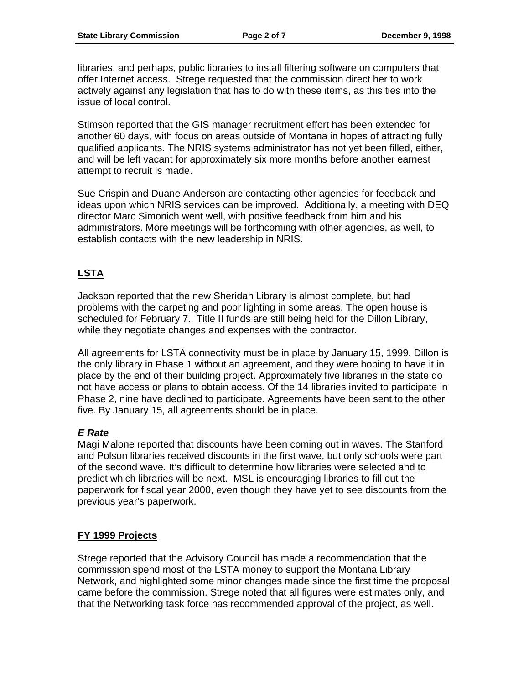libraries, and perhaps, public libraries to install filtering software on computers that offer Internet access. Strege requested that the commission direct her to work actively against any legislation that has to do with these items, as this ties into the issue of local control.

Stimson reported that the GIS manager recruitment effort has been extended for another 60 days, with focus on areas outside of Montana in hopes of attracting fully qualified applicants. The NRIS systems administrator has not yet been filled, either, and will be left vacant for approximately six more months before another earnest attempt to recruit is made.

Sue Crispin and Duane Anderson are contacting other agencies for feedback and ideas upon which NRIS services can be improved. Additionally, a meeting with DEQ director Marc Simonich went well, with positive feedback from him and his administrators. More meetings will be forthcoming with other agencies, as well, to establish contacts with the new leadership in NRIS.

# **LSTA**

Jackson reported that the new Sheridan Library is almost complete, but had problems with the carpeting and poor lighting in some areas. The open house is scheduled for February 7. Title II funds are still being held for the Dillon Library, while they negotiate changes and expenses with the contractor.

All agreements for LSTA connectivity must be in place by January 15, 1999. Dillon is the only library in Phase 1 without an agreement, and they were hoping to have it in place by the end of their building project. Approximately five libraries in the state do not have access or plans to obtain access. Of the 14 libraries invited to participate in Phase 2, nine have declined to participate. Agreements have been sent to the other five. By January 15, all agreements should be in place.

# *E Rate*

Magi Malone reported that discounts have been coming out in waves. The Stanford and Polson libraries received discounts in the first wave, but only schools were part of the second wave. It's difficult to determine how libraries were selected and to predict which libraries will be next. MSL is encouraging libraries to fill out the paperwork for fiscal year 2000, even though they have yet to see discounts from the previous year's paperwork.

# **FY 1999 Projects**

Strege reported that the Advisory Council has made a recommendation that the commission spend most of the LSTA money to support the Montana Library Network, and highlighted some minor changes made since the first time the proposal came before the commission. Strege noted that all figures were estimates only, and that the Networking task force has recommended approval of the project, as well.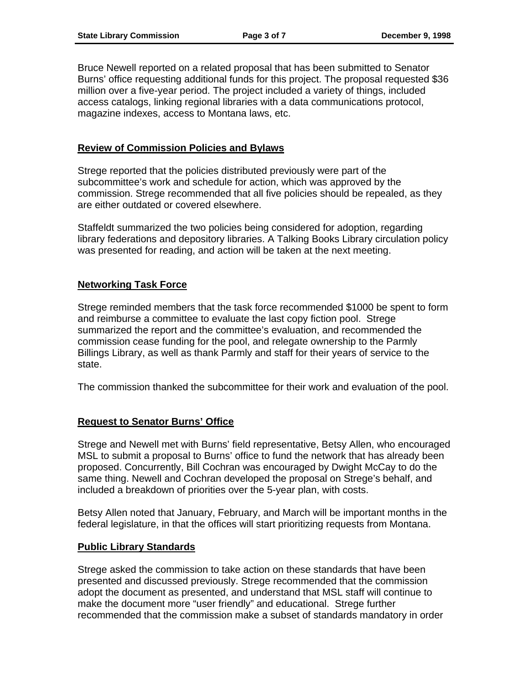Bruce Newell reported on a related proposal that has been submitted to Senator Burns' office requesting additional funds for this project. The proposal requested \$36 million over a five-year period. The project included a variety of things, included access catalogs, linking regional libraries with a data communications protocol, magazine indexes, access to Montana laws, etc.

## **Review of Commission Policies and Bylaws**

Strege reported that the policies distributed previously were part of the subcommittee's work and schedule for action, which was approved by the commission. Strege recommended that all five policies should be repealed, as they are either outdated or covered elsewhere.

Staffeldt summarized the two policies being considered for adoption, regarding library federations and depository libraries. A Talking Books Library circulation policy was presented for reading, and action will be taken at the next meeting.

## **Networking Task Force**

Strege reminded members that the task force recommended \$1000 be spent to form and reimburse a committee to evaluate the last copy fiction pool. Strege summarized the report and the committee's evaluation, and recommended the commission cease funding for the pool, and relegate ownership to the Parmly Billings Library, as well as thank Parmly and staff for their years of service to the state.

The commission thanked the subcommittee for their work and evaluation of the pool.

# **Request to Senator Burns' Office**

Strege and Newell met with Burns' field representative, Betsy Allen, who encouraged MSL to submit a proposal to Burns' office to fund the network that has already been proposed. Concurrently, Bill Cochran was encouraged by Dwight McCay to do the same thing. Newell and Cochran developed the proposal on Strege's behalf, and included a breakdown of priorities over the 5-year plan, with costs.

Betsy Allen noted that January, February, and March will be important months in the federal legislature, in that the offices will start prioritizing requests from Montana.

## **Public Library Standards**

Strege asked the commission to take action on these standards that have been presented and discussed previously. Strege recommended that the commission adopt the document as presented, and understand that MSL staff will continue to make the document more "user friendly" and educational. Strege further recommended that the commission make a subset of standards mandatory in order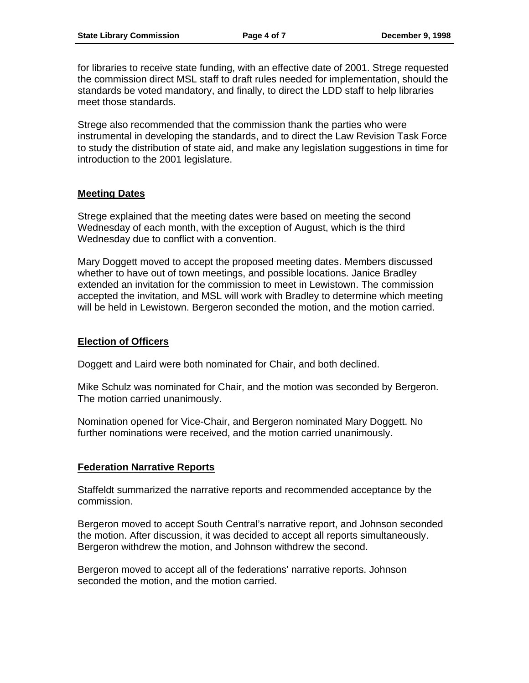for libraries to receive state funding, with an effective date of 2001. Strege requested the commission direct MSL staff to draft rules needed for implementation, should the standards be voted mandatory, and finally, to direct the LDD staff to help libraries meet those standards.

Strege also recommended that the commission thank the parties who were instrumental in developing the standards, and to direct the Law Revision Task Force to study the distribution of state aid, and make any legislation suggestions in time for introduction to the 2001 legislature.

## **Meeting Dates**

Strege explained that the meeting dates were based on meeting the second Wednesday of each month, with the exception of August, which is the third Wednesday due to conflict with a convention.

Mary Doggett moved to accept the proposed meeting dates. Members discussed whether to have out of town meetings, and possible locations. Janice Bradley extended an invitation for the commission to meet in Lewistown. The commission accepted the invitation, and MSL will work with Bradley to determine which meeting will be held in Lewistown. Bergeron seconded the motion, and the motion carried.

## **Election of Officers**

Doggett and Laird were both nominated for Chair, and both declined.

Mike Schulz was nominated for Chair, and the motion was seconded by Bergeron. The motion carried unanimously.

Nomination opened for Vice-Chair, and Bergeron nominated Mary Doggett. No further nominations were received, and the motion carried unanimously.

# **Federation Narrative Reports**

Staffeldt summarized the narrative reports and recommended acceptance by the commission.

Bergeron moved to accept South Central's narrative report, and Johnson seconded the motion. After discussion, it was decided to accept all reports simultaneously. Bergeron withdrew the motion, and Johnson withdrew the second.

Bergeron moved to accept all of the federations' narrative reports. Johnson seconded the motion, and the motion carried.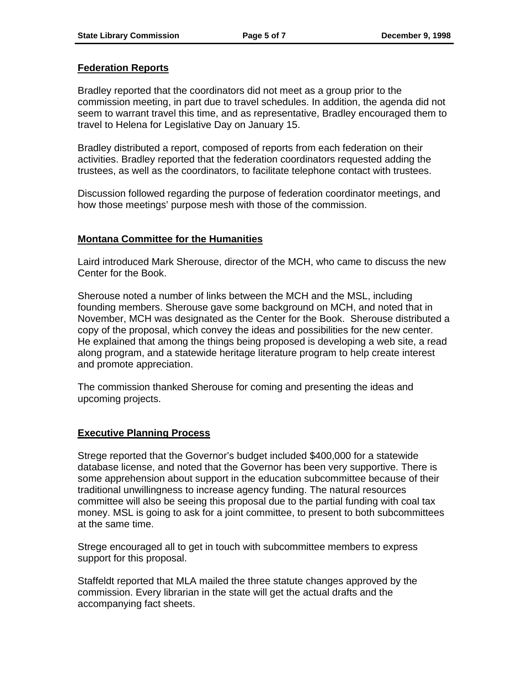## **Federation Reports**

Bradley reported that the coordinators did not meet as a group prior to the commission meeting, in part due to travel schedules. In addition, the agenda did not seem to warrant travel this time, and as representative, Bradley encouraged them to travel to Helena for Legislative Day on January 15.

Bradley distributed a report, composed of reports from each federation on their activities. Bradley reported that the federation coordinators requested adding the trustees, as well as the coordinators, to facilitate telephone contact with trustees.

Discussion followed regarding the purpose of federation coordinator meetings, and how those meetings' purpose mesh with those of the commission.

## **Montana Committee for the Humanities**

Laird introduced Mark Sherouse, director of the MCH, who came to discuss the new Center for the Book.

Sherouse noted a number of links between the MCH and the MSL, including founding members. Sherouse gave some background on MCH, and noted that in November, MCH was designated as the Center for the Book. Sherouse distributed a copy of the proposal, which convey the ideas and possibilities for the new center. He explained that among the things being proposed is developing a web site, a read along program, and a statewide heritage literature program to help create interest and promote appreciation.

The commission thanked Sherouse for coming and presenting the ideas and upcoming projects.

## **Executive Planning Process**

Strege reported that the Governor's budget included \$400,000 for a statewide database license, and noted that the Governor has been very supportive. There is some apprehension about support in the education subcommittee because of their traditional unwillingness to increase agency funding. The natural resources committee will also be seeing this proposal due to the partial funding with coal tax money. MSL is going to ask for a joint committee, to present to both subcommittees at the same time.

Strege encouraged all to get in touch with subcommittee members to express support for this proposal.

Staffeldt reported that MLA mailed the three statute changes approved by the commission. Every librarian in the state will get the actual drafts and the accompanying fact sheets.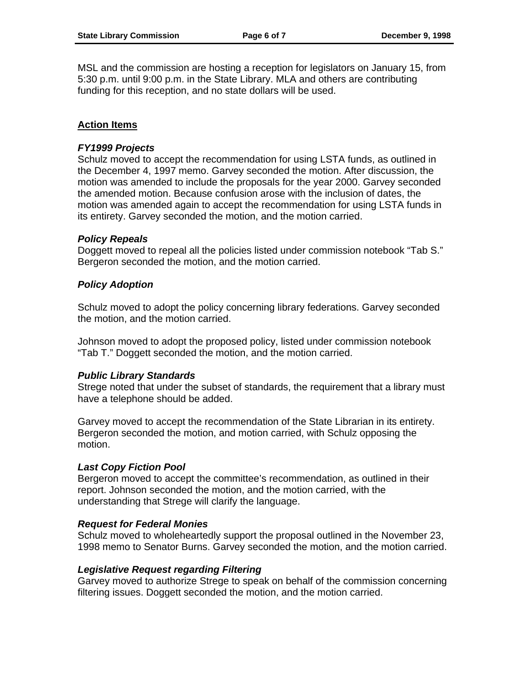MSL and the commission are hosting a reception for legislators on January 15, from 5:30 p.m. until 9:00 p.m. in the State Library. MLA and others are contributing funding for this reception, and no state dollars will be used.

## **Action Items**

## *FY1999 Projects*

Schulz moved to accept the recommendation for using LSTA funds, as outlined in the December 4, 1997 memo. Garvey seconded the motion. After discussion, the motion was amended to include the proposals for the year 2000. Garvey seconded the amended motion. Because confusion arose with the inclusion of dates, the motion was amended again to accept the recommendation for using LSTA funds in its entirety. Garvey seconded the motion, and the motion carried.

## *Policy Repeals*

Doggett moved to repeal all the policies listed under commission notebook "Tab S." Bergeron seconded the motion, and the motion carried.

## *Policy Adoption*

Schulz moved to adopt the policy concerning library federations. Garvey seconded the motion, and the motion carried.

Johnson moved to adopt the proposed policy, listed under commission notebook "Tab T." Doggett seconded the motion, and the motion carried.

## *Public Library Standards*

Strege noted that under the subset of standards, the requirement that a library must have a telephone should be added.

Garvey moved to accept the recommendation of the State Librarian in its entirety. Bergeron seconded the motion, and motion carried, with Schulz opposing the motion.

## *Last Copy Fiction Pool*

Bergeron moved to accept the committee's recommendation, as outlined in their report. Johnson seconded the motion, and the motion carried, with the understanding that Strege will clarify the language.

## *Request for Federal Monies*

Schulz moved to wholeheartedly support the proposal outlined in the November 23, 1998 memo to Senator Burns. Garvey seconded the motion, and the motion carried.

## *Legislative Request regarding Filtering*

Garvey moved to authorize Strege to speak on behalf of the commission concerning filtering issues. Doggett seconded the motion, and the motion carried.